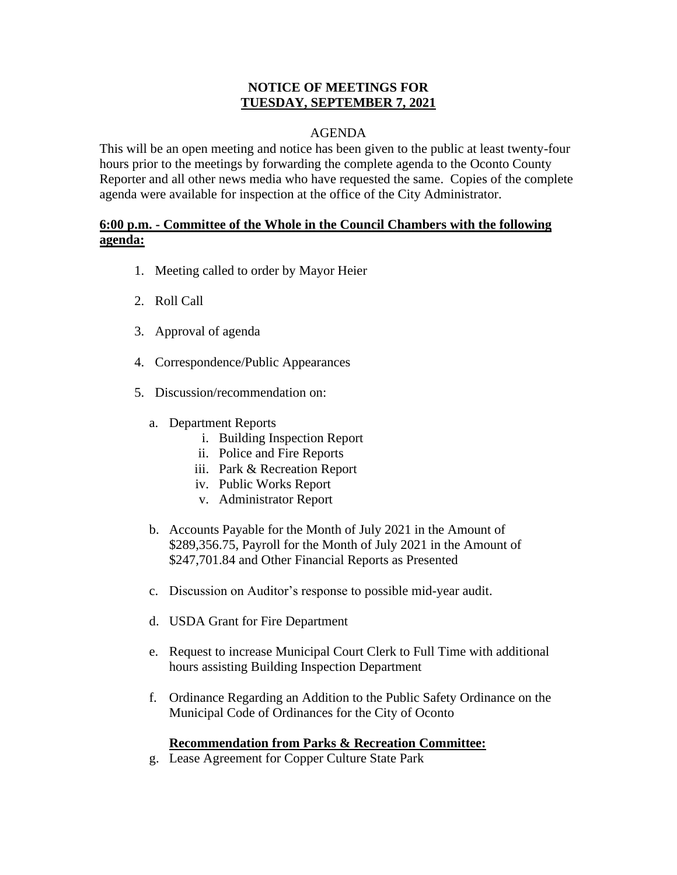#### **NOTICE OF MEETINGS FOR TUESDAY, SEPTEMBER 7, 2021**

## AGENDA

This will be an open meeting and notice has been given to the public at least twenty-four hours prior to the meetings by forwarding the complete agenda to the Oconto County Reporter and all other news media who have requested the same. Copies of the complete agenda were available for inspection at the office of the City Administrator.

## **6:00 p.m. - Committee of the Whole in the Council Chambers with the following agenda:**

- 1. Meeting called to order by Mayor Heier
- 2. Roll Call
- 3. Approval of agenda
- 4. Correspondence/Public Appearances
- 5. Discussion/recommendation on:
	- a. Department Reports
		- i. Building Inspection Report
		- ii. Police and Fire Reports
		- iii. Park & Recreation Report
		- iv. Public Works Report
		- v. Administrator Report
	- b. Accounts Payable for the Month of July 2021 in the Amount of \$289,356.75, Payroll for the Month of July 2021 in the Amount of \$247,701.84 and Other Financial Reports as Presented
	- c. Discussion on Auditor's response to possible mid-year audit.
	- d. USDA Grant for Fire Department
	- e. Request to increase Municipal Court Clerk to Full Time with additional hours assisting Building Inspection Department
	- f. Ordinance Regarding an Addition to the Public Safety Ordinance on the Municipal Code of Ordinances for the City of Oconto

# **Recommendation from Parks & Recreation Committee:**

g. Lease Agreement for Copper Culture State Park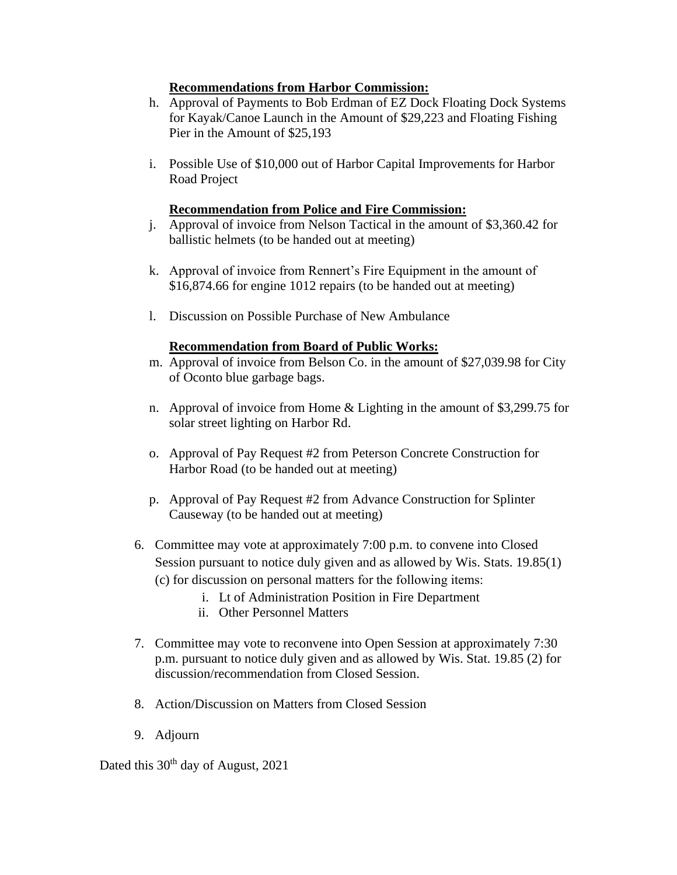#### **Recommendations from Harbor Commission:**

- h. Approval of Payments to Bob Erdman of EZ Dock Floating Dock Systems for Kayak/Canoe Launch in the Amount of \$29,223 and Floating Fishing Pier in the Amount of \$25,193
- i. Possible Use of \$10,000 out of Harbor Capital Improvements for Harbor Road Project

#### **Recommendation from Police and Fire Commission:**

- j. Approval of invoice from Nelson Tactical in the amount of \$3,360.42 for ballistic helmets (to be handed out at meeting)
- k. Approval of invoice from Rennert's Fire Equipment in the amount of \$16,874.66 for engine 1012 repairs (to be handed out at meeting)
- l. Discussion on Possible Purchase of New Ambulance

#### **Recommendation from Board of Public Works:**

- m. Approval of invoice from Belson Co. in the amount of \$27,039.98 for City of Oconto blue garbage bags.
- n. Approval of invoice from Home & Lighting in the amount of \$3,299.75 for solar street lighting on Harbor Rd.
- o. Approval of Pay Request #2 from Peterson Concrete Construction for Harbor Road (to be handed out at meeting)
- p. Approval of Pay Request #2 from Advance Construction for Splinter Causeway (to be handed out at meeting)
- 6. Committee may vote at approximately 7:00 p.m. to convene into Closed Session pursuant to notice duly given and as allowed by Wis. Stats. 19.85(1) (c) for discussion on personal matters for the following items:
	- i. Lt of Administration Position in Fire Department
	- ii. Other Personnel Matters
- 7. Committee may vote to reconvene into Open Session at approximately 7:30 p.m. pursuant to notice duly given and as allowed by Wis. Stat. 19.85 (2) for discussion/recommendation from Closed Session.
- 8. Action/Discussion on Matters from Closed Session
- 9. Adjourn

Dated this 30<sup>th</sup> day of August, 2021